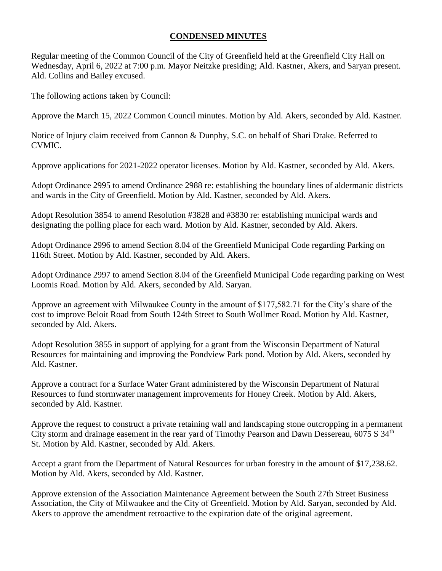## **CONDENSED MINUTES**

Regular meeting of the Common Council of the City of Greenfield held at the Greenfield City Hall on Wednesday, April 6, 2022 at 7:00 p.m. Mayor Neitzke presiding; Ald. Kastner, Akers, and Saryan present. Ald. Collins and Bailey excused.

The following actions taken by Council:

Approve the March 15, 2022 Common Council minutes. Motion by Ald. Akers, seconded by Ald. Kastner.

Notice of Injury claim received from Cannon & Dunphy, S.C. on behalf of Shari Drake. Referred to CVMIC.

Approve applications for 2021-2022 operator licenses. Motion by Ald. Kastner, seconded by Ald. Akers.

Adopt Ordinance 2995 to amend Ordinance 2988 re: establishing the boundary lines of aldermanic districts and wards in the City of Greenfield. Motion by Ald. Kastner, seconded by Ald. Akers.

Adopt Resolution 3854 to amend Resolution #3828 and #3830 re: establishing municipal wards and designating the polling place for each ward. Motion by Ald. Kastner, seconded by Ald. Akers.

Adopt Ordinance 2996 to amend Section 8.04 of the Greenfield Municipal Code regarding Parking on 116th Street. Motion by Ald. Kastner, seconded by Ald. Akers.

Adopt Ordinance 2997 to amend Section 8.04 of the Greenfield Municipal Code regarding parking on West Loomis Road. Motion by Ald. Akers, seconded by Ald. Saryan.

Approve an agreement with Milwaukee County in the amount of \$177,582.71 for the City's share of the cost to improve Beloit Road from South 124th Street to South Wollmer Road. Motion by Ald. Kastner, seconded by Ald. Akers.

Adopt Resolution 3855 in support of applying for a grant from the Wisconsin Department of Natural Resources for maintaining and improving the Pondview Park pond. Motion by Ald. Akers, seconded by Ald. Kastner.

Approve a contract for a Surface Water Grant administered by the Wisconsin Department of Natural Resources to fund stormwater management improvements for Honey Creek. Motion by Ald. Akers, seconded by Ald. Kastner.

Approve the request to construct a private retaining wall and landscaping stone outcropping in a permanent City storm and drainage easement in the rear yard of Timothy Pearson and Dawn Dessereau, 6075 S 34<sup>th</sup> St. Motion by Ald. Kastner, seconded by Ald. Akers.

Accept a grant from the Department of Natural Resources for urban forestry in the amount of \$17,238.62. Motion by Ald. Akers, seconded by Ald. Kastner.

Approve extension of the Association Maintenance Agreement between the South 27th Street Business Association, the City of Milwaukee and the City of Greenfield. Motion by Ald. Saryan, seconded by Ald. Akers to approve the amendment retroactive to the expiration date of the original agreement.